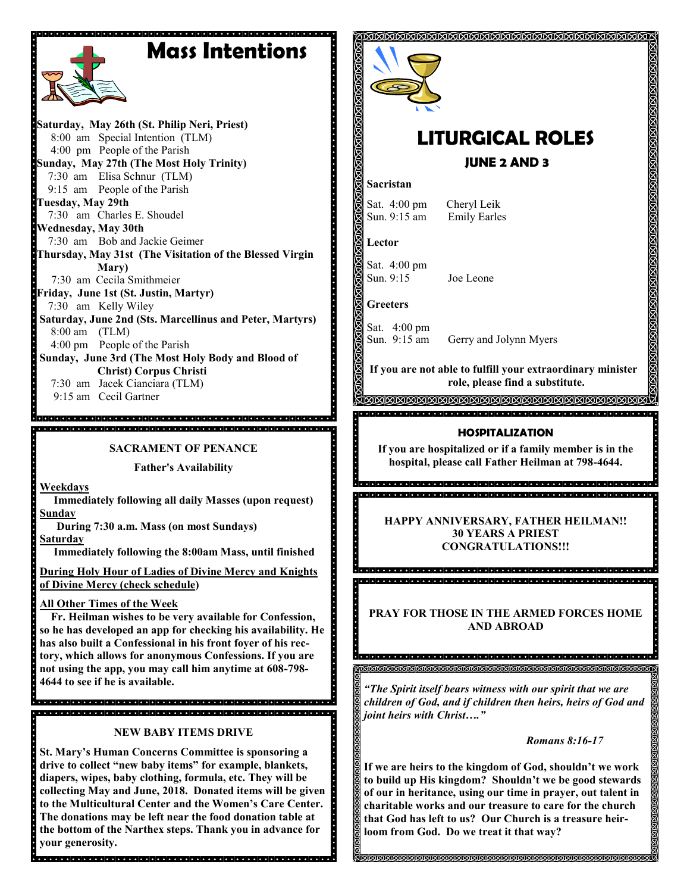# **Mass Intentions**



**Saturday, May 26th (St. Philip Neri, Priest)** 8:00 am Special Intention (TLM) 4:00 pm People of the Parish **Sunday, May 27th (The Most Holy Trinity)** 7:30 am Elisa Schnur (TLM) 9:15 am People of the Parish **Tuesday, May 29th** 7:30 am Charles E. Shoudel **Wednesday, May 30th** 7:30 am Bob and Jackie Geimer **Thursday, May 31st (The Visitation of the Blessed Virgin Mary)**  7:30 am Cecila Smithmeier **Friday, June 1st (St. Justin, Martyr)** 7:30 am Kelly Wiley **Saturday, June 2nd (Sts. Marcellinus and Peter, Martyrs)** 8:00 am (TLM) 4:00 pm People of the Parish **Sunday, June 3rd (The Most Holy Body and Blood of Christ) Corpus Christi** 7:30 am Jacek Cianciara (TLM)

9:15 am Cecil Gartner

**SACRAMENT OF PENANCE**

**Father's Availability**

**Weekdays**

 **Immediately following all daily Masses (upon request) Sunday** 

 **During 7:30 a.m. Mass (on most Sundays)**

**Saturday**

 **Immediately following the 8:00am Mass, until finished** 

**During Holy Hour of Ladies of Divine Mercy and Knights of Divine Mercy (check schedule)**

**All Other Times of the Week** 

 **Fr. Heilman wishes to be very available for Confession, so he has developed an app for checking his availability. He has also built a Confessional in his front foyer of his rectory, which allows for anonymous Confessions. If you are not using the app, you may call him anytime at 608-798- 4644 to see if he is available.** 

de el distribució del sistema el distribució del sistema el distribució del sistema el distribució .<br>1910 - 1910 - 1910 - 1910 - 1910 - 1910 - 1910 - 1910 - 1910 - 1910 - 1910 - 1910 - 1910 - 1910 - 1910 - 1910

**NEW BABY ITEMS DRIVE**

**St. Mary's Human Concerns Committee is sponsoring a drive to collect "new baby items" for example, blankets, diapers, wipes, baby clothing, formula, etc. They will be collecting May and June, 2018. Donated items will be given to the Multicultural Center and the Women's Care Center. The donations may be left near the food donation table at the bottom of the Narthex steps. Thank you in advance for your generosity.** 



# **LITURGICAL ROLES**

### **JUNE 2 AND 3**

#### **Sacristan**

Sat. 4:00 pm Cheryl Leik Sun. 9:15 am Emily Earles

**Lector**

Sat. 4:00 pm Sun. 9:15 Joe Leone

**Greeters**

Sat. 4:00 pm Sun. 9:15 am Gerry and Jolynn Myers

**If you are not able to fulfill your extraordinary minister role, please find a substitute.** 

**SEXISIONS ISING SEXISIONS SEXISIONS SEXISIONS ISING** 

#### **HOSPITALIZATION**

**If you are hospitalized or if a family member is in the hospital, please call Father Heilman at 798-4644.**

> **HAPPY ANNIVERSARY, FATHER HEILMAN!! 30 YEARS A PRIEST CONGRATULATIONS!!!**

a<br>Secondo de la decida de decida de la decida de la decida de la decida de la decida de la decida <u>.</u><br>2. District die tot die televisie die tot die televisie die televisie die televisie televisie televisie televis

**PRAY FOR THOSE IN THE ARMED FORCES HOME AND ABROAD**

a di secolo della cienta della cienta della cienta della cienta della cienta della cienta della cienta della 

*"The Spirit itself bears witness with our spirit that we are children of God, and if children then heirs, heirs of God and joint heirs with Christ…."*

*Romans 8:16-17*

**If we are heirs to the kingdom of God, shouldn't we work to build up His kingdom? Shouldn't we be good stewards of our in heritance, using our time in prayer, out talent in charitable works and our treasure to care for the church that God has left to us? Our Church is a treasure heirloom from God. Do we treat it that way?** 

MMMMMMMMMMMMMM